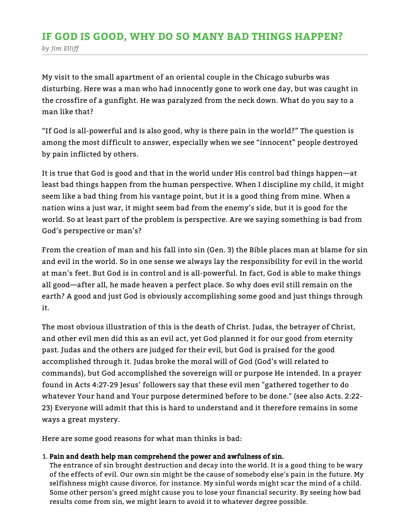# by Jim Elliff IF GOD IS GOOD, WHY DO SO MANY BAD THINGS HAPPEN?

My visit to the small apartment of an oriental couple in the Chicago suburbs was disturbing. Here was a man who had innocently gone to work one day, but was caught in the crossfire of a gunfight. He was paralyzed from the neck down. What do you say to a man like that?

"If God is all-powerful and is also good, why is there pain in the world?" The question is among the most difficult to answer, especially when we see "innocent" people destroyed by pain inflicted by others.

It is true that God is good and that in the world under His control bad things happen—at least bad things happen from the human perspective. When I discipline my child, it might seem like a bad thing from his vantage point, but it is a good thing from mine. When a nation wins a just war, it might seem bad from the enemy's side, but it is good for the world. So at least part of the problem is perspective. Are we saying something is bad from God's perspective or man's?

From the creation of man and his fall into sin (Gen. 3) the Bible places man at blame for sin and evil in the world. So in one sense we always lay the responsibility for evil in the world at man's feet. But God is in control and is all-powerful. In fact, God is able to make things all good—after all, he made heaven a perfect place. So why does evil still remain on the earth? A good and just God is obviously accomplishing some good and just things through it.

The most obvious illustration of this is the death of Christ. Judas, the betrayer of Christ, and other evil men did this as an evil act, yet God planned it for our good from eternity past. Judas and the others are judged for their evil, but God is praised for the good accomplished through it. Judas broke the moral will of God (God's will related to commands), but God accomplished the sovereign will or purpose He intended. In a prayer found in Acts 4:27-29 Jesus' followers say that these evil men "gathered together to do whatever Your hand and Your purpose determined before to be done." (see also Acts. 2:22- 23) Everyone will admit that this is hard to understand and it therefore remains in some ways a great mystery.

Here are some good reasons for what man thinks is bad:

## 1. Pain and death help man comprehend the power and awfulness of sin.

The entrance of sin brought destruction and decay into the world. It is a good thing to be wary of the effects of evil. Our own sin might be the cause of somebody else's pain in the future. My selfishness might cause divorce, for instance. My sinful words might scar the mind of a child. Some other person's greed might cause you to lose your financial security. By seeing how bad results come from sin, we might learn to avoid it to whatever degree possible.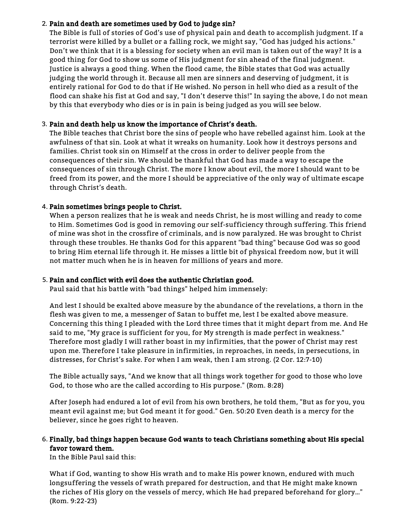### 2. Pain and death are sometimes used by God to judge sin?

The Bible is full of stories of God's use of physical pain and death to accomplish judgment. If a terrorist were killed by a bullet or a falling rock, we might say, "God has judged his actions." Don't we think that it is a blessing for society when an evil man is taken out of the way? It is a good thing for God to show us some of His judgment for sin ahead of the final judgment. Justice is always a good thing. When the flood came, the Bible states that God was actually judging the world through it. Because all men are sinners and deserving of judgment, it is entirely rational for God to do that if He wished. No person in hell who died as a result of the flood can shake his fist at God and say, "I don't deserve this!" In saying the above, I do not mean by this that everybody who dies or is in pain is being judged as you will see below.

### 3. Pain and death help us know the importance of Christ's death.

The Bible teaches that Christ bore the sins of people who have rebelled against him. Look at the awfulness of that sin. Look at what it wreaks on humanity. Look how it destroys persons and families. Christ took sin on Himself at the cross in order to deliver people from the consequences of their sin. We should be thankful that God has made a way to escape the consequences of sin through Christ. The more I know about evil, the more I should want to be freed from its power, and the more I should be appreciative of the only way of ultimate escape through Christ's death.

### 4. Pain sometimes brings people to Christ.

When a person realizes that he is weak and needs Christ, he is most willing and ready to come to Him. Sometimes God is good in removing our self-sufficiency through suffering. This friend of mine was shot in the crossfire of criminals, and is now paralyzed. He was brought to Christ through these troubles. He thanks God for this apparent "bad thing" because God was so good to bring Him eternal life through it. He misses a little bit of physical freedom now, but it will not matter much when he is in heaven for millions of years and more.

#### 5. Pain and conflict with evil does the authentic Christian good.

Paul said that his battle with "bad things" helped him immensely:

And lest I should be exalted above measure by the abundance of the revelations, a thorn in the flesh was given to me, a messenger of Satan to buffet me, lest I be exalted above measure. Concerning this thing I pleaded with the Lord three times that it might depart from me. And He said to me, "My grace is sufficient for you, for My strength is made perfect in weakness." Therefore most gladly I will rather boast in my infirmities, that the power of Christ may rest upon me. Therefore I take pleasure in infirmities, in reproaches, in needs, in persecutions, in distresses, for Christ's sake. For when I am weak, then I am strong. (2 Cor. 12:7-10)

The Bible actually says, "And we know that all things work together for good to those who love God, to those who are the called according to His purpose." (Rom. 8:28)

After Joseph had endured a lot of evil from his own brothers, he told them, "But as for you, you meant evil against me; but God meant it for good." Gen. 50:20 Even death is a mercy for the believer, since he goes right to heaven.

### 6. Finally, bad things happen because God wants to teach Christians something about His special favor toward them.

In the Bible Paul said this:

What if God, wanting to show His wrath and to make His power known, endured with much longsuffering the vessels of wrath prepared for destruction, and that He might make known the riches of His glory on the vessels of mercy, which He had prepared beforehand for glory…" (Rom. 9:22-23)